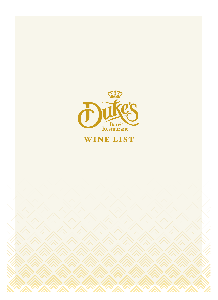

# WINE LIST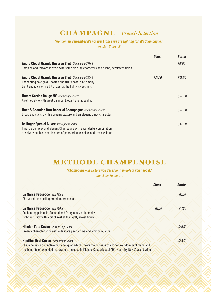# CHAMPAGNE | *French Selection*

#### *"Gentlemen, remember it's not just France we are fighting for, it's Champagne." Winston Churchill*

|                                                                                                                                                                                                      | Glass   | <b>Bottle</b> |
|------------------------------------------------------------------------------------------------------------------------------------------------------------------------------------------------------|---------|---------------|
| <b>Andre Clouet Grande Réserve Brut</b> Champagne 375ml<br>Complex and forward in style, with some biscuity characters and a long, persistent finish                                                 |         | \$61.00       |
| Andre Clouet Grande Réserve Brut Champagne 750ml<br>Enchanting pale gold. Toasted and fruity nose, a bit smoky.<br>Light and juicy with a bit of zest at the lightly sweet finish                    | \$22.00 | \$115.00      |
| <b>Mumm Cordon Rouge NV</b> Champagne 750ml<br>A refined style with great balance. Elegant and appealing                                                                                             |         | \$130.00      |
| Moet & Chandon Brut Imperial Champagne Champagne 750ml<br>Broad and stylish, with a creamy texture and an elegant, zingy character                                                                   |         | \$135.00      |
| <b>Bollinger Special Cuvee</b> Champagne 750ml<br>This is a complex and elegant Champagne with a wonderful combination<br>of velvety bubbles and flavours of pear, brioche, spice, and fresh walnuts |         | \$160.00      |

## METHODE CHAMPENOISE

*"Champagne – in victory you deserve it, in defeat you need it." Napoleon Bonaparte*

|                                                                                                                                                                                                                                                                | Glass   | <b>Bottle</b> |
|----------------------------------------------------------------------------------------------------------------------------------------------------------------------------------------------------------------------------------------------------------------|---------|---------------|
| La Marca Prosecco Italy 187ml<br>The world's top selling premium prosecco                                                                                                                                                                                      |         | \$16.00       |
| La Marca Prosecco Italy 750ml<br>Enchanting pale gold. Toasted and fruity nose, a bit smoky.<br>Light and juicy with a bit of zest at the lightly sweet finish                                                                                                 | \$12.00 | \$47.00       |
| <b>Mission Fete Cuvee</b> Hawkes Bay 750ml<br>Creamy characteristics with a delicate pear aroma and almond nuance                                                                                                                                              |         | \$49.00       |
| <b>Nautilus Brut Cuvee</b> Marlborough 750ml<br>The wine has a distinctive nutty bouquet, which shows the richness of a Pinot Noir dominant blend and<br>the benefits of extended maturation. Included in Michael Cooper's book 100 Must-Try New Zealand Wines |         | \$68.00       |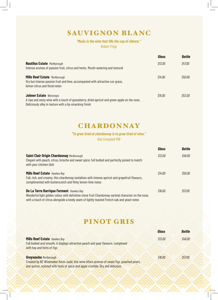# SAUVIGNON BLANC

#### *"Music is the wine that fills the cup of silence."*

*Robert Fripp*

|                                                                                                                                                                                           | Glass   | <b>Bottle</b> |
|-------------------------------------------------------------------------------------------------------------------------------------------------------------------------------------------|---------|---------------|
| <b>Nautilus Estate Marlborough</b><br>Intense aromas of passion fruit, citrus and herbs. Mouth-watering and textural                                                                      | \$13.00 | \$47.00       |
| <b>Mills Reef Estate Marlborough</b><br>Dry but intense passion fruit and lime, accompanied with attractive cut-grass,<br>lemon citrus and floral notes                                   | \$14.00 | \$50.00       |
| <b>Johner Estate Wairarapa</b><br>A ripe and zesty wine with a touch of gooseberry, dried apricot and green apple on the nose.<br>Deliciously silky in texture with a lip-smacking finish | \$15.00 | \$53.00       |

#### **CHARDONNAY**

#### *"To grow tired of chardonnay is to grow tired of wine."*

*Bob Campbell MW*

|                                                                                                                                                                                                                                                 | <b>Glass</b> | <b>Bottle</b> |
|-------------------------------------------------------------------------------------------------------------------------------------------------------------------------------------------------------------------------------------------------|--------------|---------------|
| Saint Clair Origin Chardonnay Marlborough<br>Elegant with peach, citrus, brioche and sweet spice, full bodied and perfectly poised to match<br>with your chicken dish                                                                           | \$13.00      | \$48.00       |
| <b>Mills Reef Estate</b> Hawkes Bay<br>Full, rich, and creamy, this chardonnay tantalises with intense apricot and grapefruit flavours,<br>complimented with butterscotch and flinty lemon-lime notes                                           | \$14.00      | \$50.00       |
| De La Terre Barrique Ferment Hawkes Bay<br>Wonderful light golden colour with definitive stone fruit Chardonnay varietal character on the nose,<br>with a touch of citrus alongside a lovely seam of lightly toasted French oak and yeast notes | \$16.00      | \$57.00       |

### PINOT GRIS

|                                                                                           | Glass   | <b>Bottle</b> |
|-------------------------------------------------------------------------------------------|---------|---------------|
| Mills Reef Estate Hawkes Bay                                                              | \$13.00 | \$48.00       |
| Full bodied and smooth, it displays attractive peach and pear flavours, complexed         |         |               |
| with hay and hints of figs                                                                |         |               |
|                                                                                           |         |               |
| <b>Greywacke Marlborough</b>                                                              | \$16.00 | \$57.00       |
| Created by NZ Winemaker Kevin Judd, this wine offers aromas of sweet figs, poached pears, |         |               |
| and quince, scented with hints of spice and apple crumble. Dry and delicious              |         |               |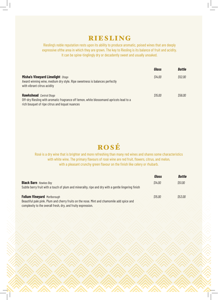#### RIESLING

Riesling's noble reputation rests upon its ability to produce aromatic, poised wines that are deeply expressive ofthe area in which they are grown. The key to Riesling is its balance of fruit and acidity. It can be spine-tinglingly dry or decadently sweet and usually unoaked.

|                                                                                                                                                                             | Glass   | <b>Bottle</b> |
|-----------------------------------------------------------------------------------------------------------------------------------------------------------------------------|---------|---------------|
| <b>Misha's Vineyard Limelight Otago</b><br>Award winning wine, medium dry style. Ripe sweetness is balances perfectly<br>with vibrant citrus acidity                        | \$14.00 | \$52.00       |
| <b>Hawkshead</b> Central Otago<br>Off-dry Riesling with aromatic fragrance off lemon, white blossomand apricots lead to a<br>rich bouquet of ripe citrus and loquat nuances | \$15.00 | <i>S56.00</i> |

# ROSÉ

Rosé is a dry wine that is brighter and more refreshing than many red wines and shares some characteristics with white wine. The primary flavours of rosé wine are red fruit, flowers, citrus, and melon, with a pleasant crunchy green flavour on the finish like celery or rhubarb.

|                                                                                                     | Glass   | <b>Bottle</b> |
|-----------------------------------------------------------------------------------------------------|---------|---------------|
| <b>Black Barn</b> Hawkes Bay                                                                        | \$14.00 | \$51.00       |
| Subtle berry fruit with a touch of plum and minerality, ripe and dry with a gentle lingering finish |         |               |
| <b>Folium Vineyard Marlborough</b>                                                                  | \$15.00 | <i>S53.00</i> |
| Beautiful pale pink. Plum and cherry fruits on the nose. Mint and chamomile add spice and           |         |               |
| complexity to the overall fresh, dry, and fruity expression.                                        |         |               |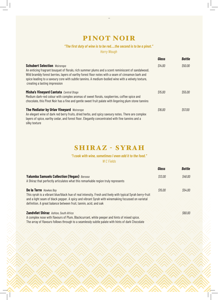# PINOT NOIR

..

*"The first duty of wine is to be red….the second is to be a pinot."*

*Harry Waugh*

|                                                                                                                                                                                                                                                                                                                                                                                     | Glass   | <b>Bottle</b> |
|-------------------------------------------------------------------------------------------------------------------------------------------------------------------------------------------------------------------------------------------------------------------------------------------------------------------------------------------------------------------------------------|---------|---------------|
| <b>Schubert Selection</b> Wairarapa<br>An enticing fragrant bouquet of florals, rich summer plums and a scent reminiscent of sandalwood.<br>Wild brambly forest berries, layers of earthy forest floor notes with a seam of cinnamon bark and<br>spice leading to a savoury core with subtle tannins. A medium-bodied wine with a velvety texture,<br>creating a lasting impression | \$14.00 | \$50.00       |
| Misha's Vineyard Cantata Central Otago<br>Medium dark-red colour with complex aromas of sweet florals, raspberries, coffee spice and<br>chocolate, this Pinot Noir has a fine and gentle sweet fruit palate with lingering plum stone tannins                                                                                                                                       | \$15.00 | \$55.00       |
| <b>The Mediator by Urlav Vineyard Wairarapa</b><br>An elegant wine of dark red berry fruits, dried herbs, and spicy savoury notes. There are complex<br>layers of spice, earthy cedar, and forest floor. Elegantly concentrated with fine tannins and a<br>silky texture                                                                                                            | \$16.00 | \$57.00       |

# SHIRAZ - SYRAH

*"I cook with wine, sometimes I even add it to the food."*

*W C Fields*

|                                                                                                                                                                                                                                                                                                                    | <b>Glass</b> | <b>Bottle</b> |
|--------------------------------------------------------------------------------------------------------------------------------------------------------------------------------------------------------------------------------------------------------------------------------------------------------------------|--------------|---------------|
| Yalumba Samuels Collection (Vegan) Barossa<br>A Shiraz that perfectly articulates what this remarkable region truly represents                                                                                                                                                                                     | \$13.00      | \$48.00       |
| <b>De la Terre</b> Hawkes Bay<br>This syrah is a vibrant blue/black hue of real intensity. Fresh and lively with typical Syrah berry-fruit<br>and a light seam of black pepper. A spicy and vibrant Syrah with winemaking focussed on varietal<br>definition. A great balance between fruit, tannin, acid, and oak | \$15.00      | \$54.00       |
| <b>Zandvliet Shiraz</b> Ashton, South Africa<br>A complex nose with flavours of Plum, Blackcurrant, white peeper and hints of mixed spice.<br>The array of flavours follows through to a seamlessly subtle palate with hints of dark Chocolate                                                                     |              | \$60.00       |

 $\bigcap$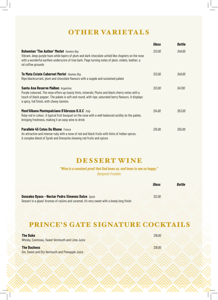## OTHER VARIETALS

|                                                                                                                                                                                                                                                                                                   | Glass   | <b>Bottle</b> |
|---------------------------------------------------------------------------------------------------------------------------------------------------------------------------------------------------------------------------------------------------------------------------------------------------|---------|---------------|
| <b>Bohemian 'The Author' Merlot Hawkes Bay</b><br>Vibrant, deep purple hues while layers of plum and dark chocolate unfold like chapters on the nose<br>with a wonderful earthen underscore of tree bark. Page turning notes of plum, violets, leather, a<br>nd coffee grounds                    | \$13.00 | \$48.00       |
| Te Mata Estate Cabernet Merlot Hawkes Bay<br>Ripe blackcurrant, plum and chocolate flavours with a supple and sustained palate                                                                                                                                                                    | \$13.00 | \$48.00       |
| <b>Santa Ana Reserve Malbec Argenting</b><br>Purple coloured. The nose offers up toasty hints, minerals, Plums and black cherry notes with a<br>touch of black pepper. The palate is soft and round, with ripe, saturated berry flavours. It displays<br>a spicy, full finish, with chewy tannins | \$13.00 | \$47.00       |
| Mont'Albano Montepulciano D'Abruzzo D.O.C Italy<br>Ruby red in colour. A typical fruit bouquet on the nose with a well-balanced acidity on the palate,<br>bringing freshness, making it an easy wine to drink                                                                                     | \$14.00 | \$53.00       |
| Parallele 45 Cotes Du Rhone France<br>An attractive and intense ruby with a nose of red and black fruits with hints of Indian spices.<br>A complex blend of Syrah and Grenache showing red fruits and spices                                                                                      | \$15.00 | \$55.00       |

### DESSERT WINE

*"Wine is a constant proof that God loves us, and loves to see us happy." Benjamin Franklin*

|                                                                                              | Glass              | Bottle |
|----------------------------------------------------------------------------------------------|--------------------|--------|
| <b>Gonzalez Byass - Nectar Pedro Ximenez Dulce Spain</b>                                     | S <sub>12.00</sub> |        |
| Dessert in a glass! Aromas of raisins and caramel, it's very sweet with a lovely long finish |                    |        |

# PRINCE'S GATE SIGNATURE COCKTAILS

| <b>The Duke</b>                                                              | S19.00             |
|------------------------------------------------------------------------------|--------------------|
| Whisky, Cointreau, Sweet Vermouth and Lime Juice                             |                    |
| <b>The Duchess</b><br><b>Gin, Sweet and Dry Vermouth and Pineapple Juice</b> | S <sub>19.00</sub> |
|                                                                              |                    |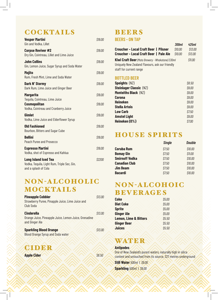# **COCKTAILS**

| <b>Vesper Martini</b><br>Gin and Vodka, Lillet                                                     | \$19.00      |
|----------------------------------------------------------------------------------------------------|--------------|
| <b>Corpse Reviver #2</b><br>Dry Gin, Cointreau, Lillet and Lime Juice                              | \$19.00      |
| <b>John Collins</b><br>Gin, Lemon Juice, Sugar Syrup and Soda Water                                | \$19.00      |
| <b>Mojito</b><br>Rum, Fresh Mint, Lime and Soda Water                                              | \$19.00      |
| Dark N' Stormy<br>Dark Rum, Lime Juice and Ginger Beer                                             | \$19.00      |
| <b>Margarita</b>                                                                                   | \$19.00      |
| Tequila, Cointreau, Lime Juice<br><b>Cosmopolitan</b><br>Vodka, Cointreau and Cranberry Juice      | \$19.00      |
| <b>Gimlet</b><br>Vodka, Lime Juice and Elderflower Syrup                                           | \$19.00      |
| <b>Old Fashioned</b><br>Bourbon, Bitters and Sugar Cube                                            | \$19.00      |
| <b>Bellini</b><br><b>Peach Puree and Prosecco</b>                                                  | \$19.00      |
| <b>Espresso Martini</b><br>Vodka, shot of Espresso and Kahlua                                      | \$19.00      |
| <b>Long Island Iced Tea</b><br>Vodka, Tequila, Light Rum, Triple Sec, Gin,<br>and a splash of Cola | <i>S2200</i> |

#### NON-ALCOHOLIC MOCKTAILS

| <b>Pineapple Cobbler</b><br>Strawberry Puree, Pinapple Juice, Lime Juice and<br>Club Soda    | \$13.00 |
|----------------------------------------------------------------------------------------------|---------|
| <b>Cinderella</b><br>Orange Juice, Pineapple Juice, Lemon Juice, Grenadine<br>and Ginger Ale | \$13.00 |
| <b>Sparkling Blood Orange</b><br><b>Blood Orange Syrup and Soda water</b>                    | \$13.00 |

CIDER **Apple Cider Apple Cider 38.50** 

#### BEERS

**BEERS - ON TAP**

| Croucher - Local Craft Beer   Pilsner                                                                                                 | 300ml<br>\$10.00 | 425ml<br>\$13.00 |
|---------------------------------------------------------------------------------------------------------------------------------------|------------------|------------------|
| Croucher - Local Craft Beer   Pale Ale                                                                                                | \$10.00          | \$13.00          |
| <b>Kiwi Craft Beer</b> (Mata Brewery - Whakatane) 330ml<br>Uniquely New Zealand Flavours, ask our friendly<br>staff for current range |                  | \$11.00          |
| <b>BOTTLED BEER</b>                                                                                                                   |                  |                  |
| <b>Speights (NZ)</b>                                                                                                                  |                  | \$8.50           |
| <b>Steinlager Classic (NZ)</b>                                                                                                        |                  | \$9.00           |
| <b>Monteiths Black (NZ)</b>                                                                                                           |                  | \$9.00           |
| <b>Corona</b>                                                                                                                         |                  | \$9.00           |
| Heineken                                                                                                                              |                  | \$9.00           |

| neineken             | SY.UU  |
|----------------------|--------|
| <b>Stella Artois</b> | \$9.00 |
| <b>Low Carb</b>      | \$7.50 |
| <b>Amstel Light</b>  | \$9.00 |
| Heineken (0%)        | \$7.00 |

# HOUSE SPIRITS

| <b>Single</b> | <b>Double</b> |
|---------------|---------------|
| \$7.50        | \$10.00       |
| \$7.50        | \$11.00       |
| \$7.50        | \$10.00       |
| \$7.50        | \$10.00       |
| \$7.50        | \$10.00       |
| \$7.50        | \$10.00       |
|               |               |

## NON-ALCOHOIC **BEVERAGES**

| <b>Coke</b>                      | \$5.00 |
|----------------------------------|--------|
| <b>Diet Coke</b>                 | \$5.00 |
| <b>Sprite</b>                    | \$5.00 |
| <b>Ginger Ale</b>                | \$5.00 |
| <b>Lemon, Lime &amp; Bitters</b> | \$5.50 |
| <b>Ginger Beer</b>               | \$5.50 |
| <b>Juices</b>                    | \$5.50 |

# WATER

#### **Antipodes**

One of New Zealand's purest waters, naturally high in silica content and untouched from its source, 327 metres underground

**Still Water** *500ml* | *\$9.00*  **Sparkling** *500ml* | *\$9.00*